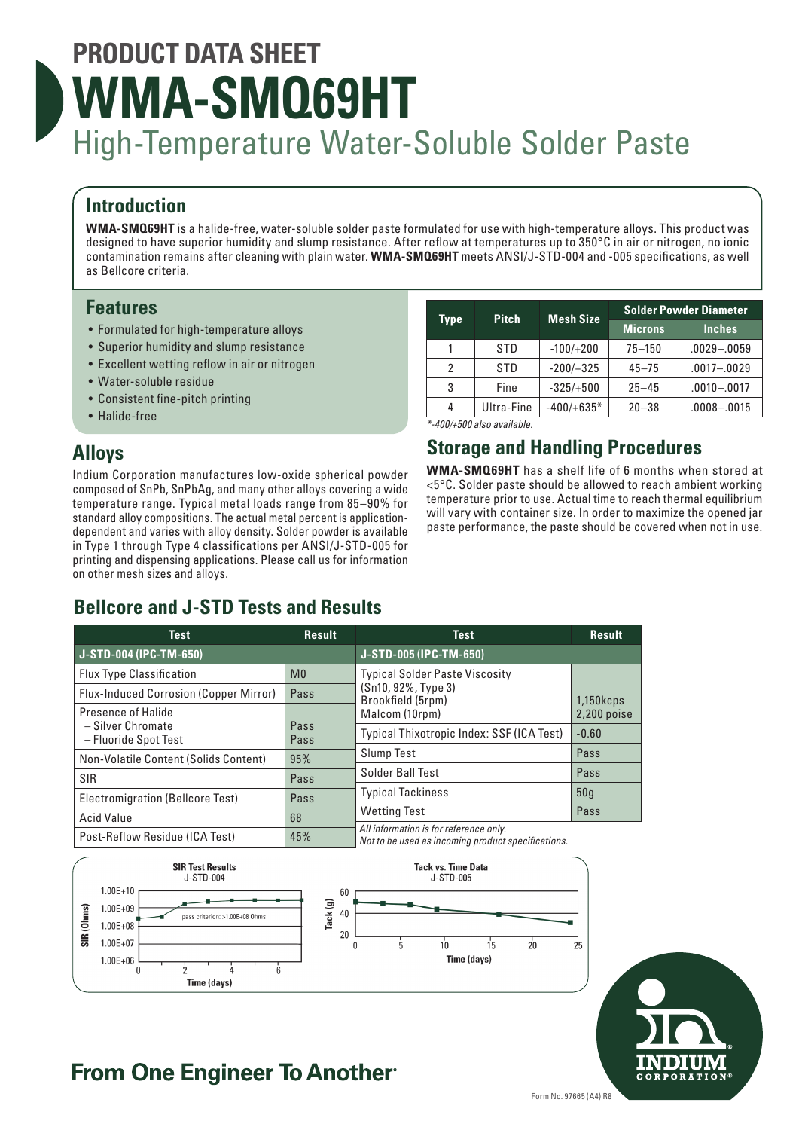# **PRODUCT DATA SHEET WMA-SMQ69HT** High-Temperature Water-Soluble Solder Paste

# **Introduction**

**WMA-SMQ69HT** is a halide-free, water-soluble solder paste formulated for use with high-temperature alloys. This product was designed to have superior humidity and slump resistance. After reflow at temperatures up to 350°C in air or nitrogen, no ionic contamination remains after cleaning with plain water. **WMA-SMQ69HT** meets ANSI/J-STD-004 and -005 specifications, as well as Bellcore criteria.

### **Features**

- Formulated for high-temperature alloys
- Superior humidity and slump resistance
- Excellent wetting reflow in air or nitrogen
- Water-soluble residue
- Consistent fine-pitch printing
- Halide-free

# **Alloys**

Indium Corporation manufactures low-oxide spherical powder composed of SnPb, SnPbAg, and many other alloys covering a wide temperature range. Typical metal loads range from 85–90% for standard alloy compositions. The actual metal percent is applicationdependent and varies with alloy density. Solder powder is available in Type 1 through Type 4 classifications per ANSI/J-STD-005 for printing and dispensing applications. Please call us for information on other mesh sizes and alloys.

|            |              | <b>Solder Powder Diameter</b> |                 |
|------------|--------------|-------------------------------|-----------------|
|            |              | <b>Microns</b>                | <b>Inches</b>   |
| <b>STD</b> | $-100/+200$  | $75 - 150$                    | $.0029 - .0059$ |
| <b>STD</b> | $-200/+325$  | $45 - 75$                     | $.0017 - .0029$ |
| Fine       | $-325/+500$  | $25 - 45$                     | $.0010 - .0017$ |
| Ultra-Fine | $-400/+635*$ | $20 - 38$                     | $.0008 - .0015$ |
|            | <b>Pitch</b> | <b>Mesh Size</b>              |                 |

*\*-400/+500 also available.*

# **Storage and Handling Procedures**

**WMA-SMQ69HT** has a shelf life of 6 months when stored at <5°C. Solder paste should be allowed to reach ambient working temperature prior to use. Actual time to reach thermal equilibrium will vary with container size. In order to maximize the opened jar paste performance, the paste should be covered when not in use.

# **Bellcore and J-STD Tests and Results**

| <b>Test</b>                                   | <b>Result</b>  | <b>Test</b>                                                                                  | <b>Result</b>   |
|-----------------------------------------------|----------------|----------------------------------------------------------------------------------------------|-----------------|
| J-STD-004 (IPC-TM-650)                        |                | J-STD-005 (IPC-TM-650)                                                                       |                 |
| <b>Flux Type Classification</b>               | M <sub>0</sub> | <b>Typical Solder Paste Viscosity</b>                                                        |                 |
| <b>Flux-Induced Corrosion (Copper Mirror)</b> | Pass           | (Sn10, 92%, Type 3)<br>Brookfield (5rpm)<br>$1,150k$ cps                                     |                 |
| Presence of Halide                            |                | Malcom (10rpm)                                                                               | $2,200$ poise   |
| - Silver Chromate<br>- Fluoride Spot Test     | Pass<br>Pass   | Typical Thixotropic Index: SSF (ICA Test)                                                    | $-0.60$         |
| Non-Volatile Content (Solids Content)         | 95%            | Slump Test                                                                                   | Pass            |
| <b>SIR</b>                                    | Pass           | Solder Ball Test                                                                             | Pass            |
| <b>Electromigration (Bellcore Test)</b>       | Pass           | <b>Typical Tackiness</b>                                                                     | 50 <sub>g</sub> |
| <b>Acid Value</b>                             | 68             | <b>Wetting Test</b>                                                                          | Pass            |
| Post-Reflow Residue (ICA Test)                | 45%            | All information is for reference only.<br>Not to be used as incoming product specifications. |                 |





# **From One Engineer To Another**®